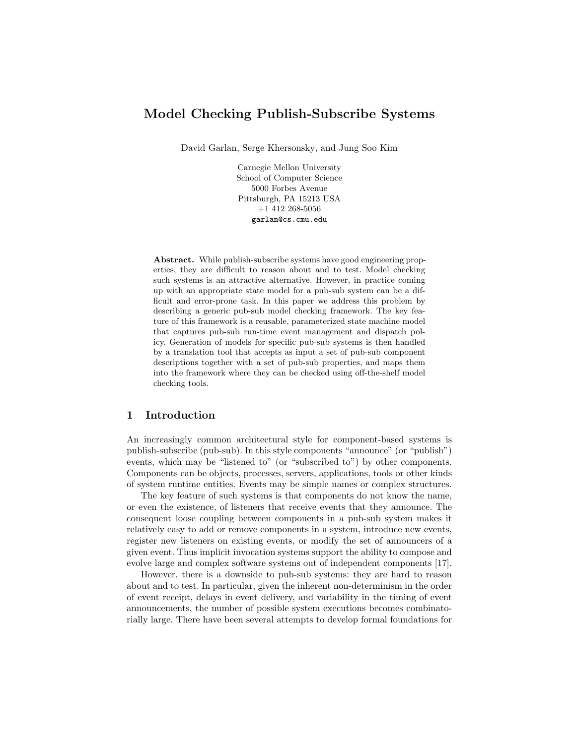# Model Checking Publish-Subscribe Systems

David Garlan, Serge Khersonsky, and Jung Soo Kim

Carnegie Mellon University School of Computer Science 5000 Forbes Avenue Pittsburgh, PA 15213 USA +1 412 268-5056 garlan@cs.cmu.edu

Abstract. While publish-subscribe systems have good engineering properties, they are difficult to reason about and to test. Model checking such systems is an attractive alternative. However, in practice coming up with an appropriate state model for a pub-sub system can be a difficult and error-prone task. In this paper we address this problem by describing a generic pub-sub model checking framework. The key feature of this framework is a reusable, parameterized state machine model that captures pub-sub run-time event management and dispatch policy. Generation of models for specific pub-sub systems is then handled by a translation tool that accepts as input a set of pub-sub component descriptions together with a set of pub-sub properties, and maps them into the framework where they can be checked using off-the-shelf model checking tools.

### 1 Introduction

An increasingly common architectural style for component-based systems is publish-subscribe (pub-sub). In this style components "announce" (or "publish") events, which may be "listened to" (or "subscribed to") by other components. Components can be objects, processes, servers, applications, tools or other kinds of system runtime entities. Events may be simple names or complex structures.

The key feature of such systems is that components do not know the name, or even the existence, of listeners that receive events that they announce. The consequent loose coupling between components in a pub-sub system makes it relatively easy to add or remove components in a system, introduce new events, register new listeners on existing events, or modify the set of announcers of a given event. Thus implicit invocation systems support the ability to compose and evolve large and complex software systems out of independent components [17].

However, there is a downside to pub-sub systems: they are hard to reason about and to test. In particular, given the inherent non-determinism in the order of event receipt, delays in event delivery, and variability in the timing of event announcements, the number of possible system executions becomes combinatorially large. There have been several attempts to develop formal foundations for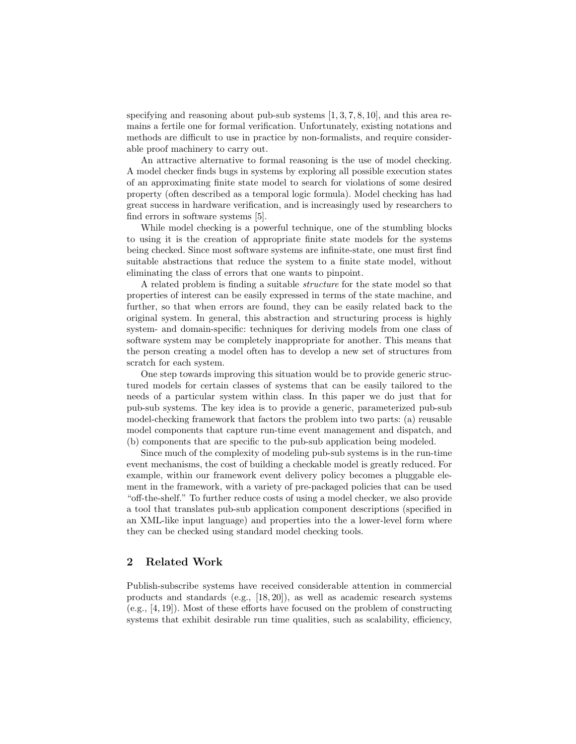specifying and reasoning about pub-sub systems  $[1, 3, 7, 8, 10]$ , and this area remains a fertile one for formal verification. Unfortunately, existing notations and methods are difficult to use in practice by non-formalists, and require considerable proof machinery to carry out.

An attractive alternative to formal reasoning is the use of model checking. A model checker finds bugs in systems by exploring all possible execution states of an approximating finite state model to search for violations of some desired property (often described as a temporal logic formula). Model checking has had great success in hardware verification, and is increasingly used by researchers to find errors in software systems [5].

While model checking is a powerful technique, one of the stumbling blocks to using it is the creation of appropriate finite state models for the systems being checked. Since most software systems are infinite-state, one must first find suitable abstractions that reduce the system to a finite state model, without eliminating the class of errors that one wants to pinpoint.

A related problem is finding a suitable structure for the state model so that properties of interest can be easily expressed in terms of the state machine, and further, so that when errors are found, they can be easily related back to the original system. In general, this abstraction and structuring process is highly system- and domain-specific: techniques for deriving models from one class of software system may be completely inappropriate for another. This means that the person creating a model often has to develop a new set of structures from scratch for each system.

One step towards improving this situation would be to provide generic structured models for certain classes of systems that can be easily tailored to the needs of a particular system within class. In this paper we do just that for pub-sub systems. The key idea is to provide a generic, parameterized pub-sub model-checking framework that factors the problem into two parts: (a) reusable model components that capture run-time event management and dispatch, and (b) components that are specific to the pub-sub application being modeled.

Since much of the complexity of modeling pub-sub systems is in the run-time event mechanisms, the cost of building a checkable model is greatly reduced. For example, within our framework event delivery policy becomes a pluggable element in the framework, with a variety of pre-packaged policies that can be used "off-the-shelf." To further reduce costs of using a model checker, we also provide a tool that translates pub-sub application component descriptions (specified in an XML-like input language) and properties into the a lower-level form where they can be checked using standard model checking tools.

### 2 Related Work

Publish-subscribe systems have received considerable attention in commercial products and standards (e.g., [18, 20]), as well as academic research systems (e.g., [4, 19]). Most of these efforts have focused on the problem of constructing systems that exhibit desirable run time qualities, such as scalability, efficiency,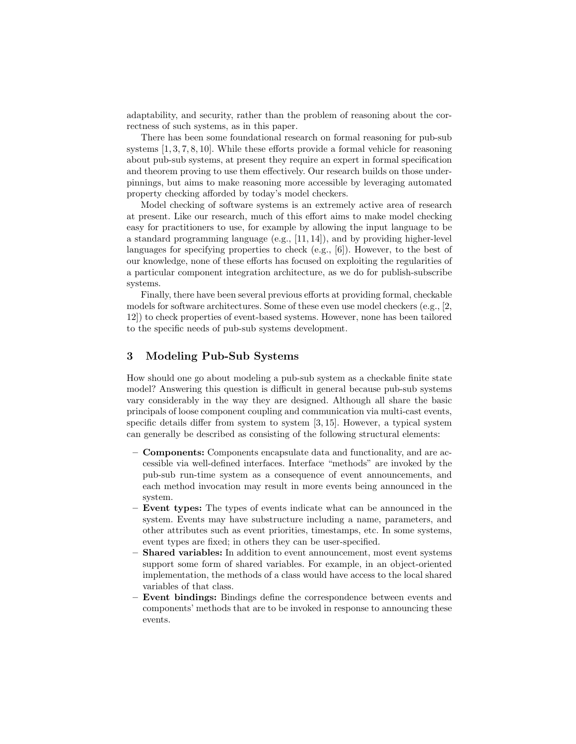adaptability, and security, rather than the problem of reasoning about the correctness of such systems, as in this paper.

There has been some foundational research on formal reasoning for pub-sub systems [1, 3, 7, 8, 10]. While these efforts provide a formal vehicle for reasoning about pub-sub systems, at present they require an expert in formal specification and theorem proving to use them effectively. Our research builds on those underpinnings, but aims to make reasoning more accessible by leveraging automated property checking afforded by today's model checkers.

Model checking of software systems is an extremely active area of research at present. Like our research, much of this effort aims to make model checking easy for practitioners to use, for example by allowing the input language to be a standard programming language (e.g.,  $[11, 14]$ ), and by providing higher-level languages for specifying properties to check (e.g., [6]). However, to the best of our knowledge, none of these efforts has focused on exploiting the regularities of a particular component integration architecture, as we do for publish-subscribe systems.

Finally, there have been several previous efforts at providing formal, checkable models for software architectures. Some of these even use model checkers (e.g., [2, 12]) to check properties of event-based systems. However, none has been tailored to the specific needs of pub-sub systems development.

### 3 Modeling Pub-Sub Systems

How should one go about modeling a pub-sub system as a checkable finite state model? Answering this question is difficult in general because pub-sub systems vary considerably in the way they are designed. Although all share the basic principals of loose component coupling and communication via multi-cast events, specific details differ from system to system [3, 15]. However, a typical system can generally be described as consisting of the following structural elements:

- Components: Components encapsulate data and functionality, and are accessible via well-defined interfaces. Interface "methods" are invoked by the pub-sub run-time system as a consequence of event announcements, and each method invocation may result in more events being announced in the system.
- Event types: The types of events indicate what can be announced in the system. Events may have substructure including a name, parameters, and other attributes such as event priorities, timestamps, etc. In some systems, event types are fixed; in others they can be user-specified.
- Shared variables: In addition to event announcement, most event systems support some form of shared variables. For example, in an object-oriented implementation, the methods of a class would have access to the local shared variables of that class.
- Event bindings: Bindings define the correspondence between events and components' methods that are to be invoked in response to announcing these events.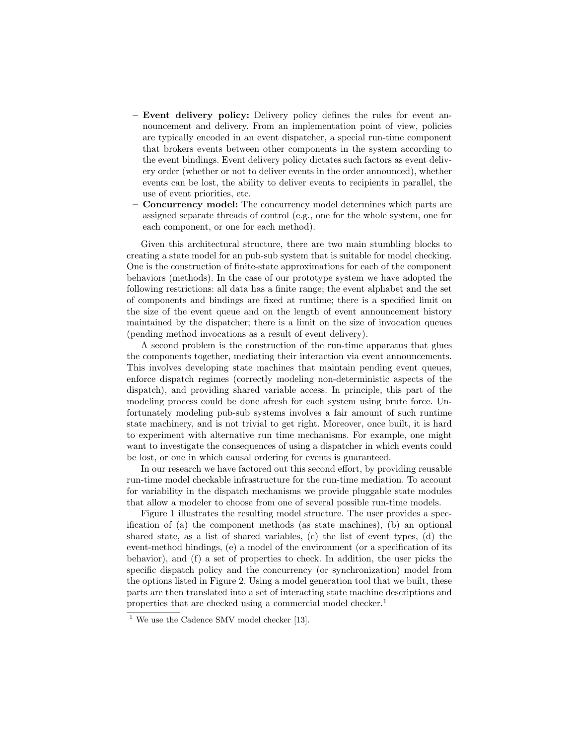- Event delivery policy: Delivery policy defines the rules for event announcement and delivery. From an implementation point of view, policies are typically encoded in an event dispatcher, a special run-time component that brokers events between other components in the system according to the event bindings. Event delivery policy dictates such factors as event delivery order (whether or not to deliver events in the order announced), whether events can be lost, the ability to deliver events to recipients in parallel, the use of event priorities, etc.
- Concurrency model: The concurrency model determines which parts are assigned separate threads of control (e.g., one for the whole system, one for each component, or one for each method).

Given this architectural structure, there are two main stumbling blocks to creating a state model for an pub-sub system that is suitable for model checking. One is the construction of finite-state approximations for each of the component behaviors (methods). In the case of our prototype system we have adopted the following restrictions: all data has a finite range; the event alphabet and the set of components and bindings are fixed at runtime; there is a specified limit on the size of the event queue and on the length of event announcement history maintained by the dispatcher; there is a limit on the size of invocation queues (pending method invocations as a result of event delivery).

A second problem is the construction of the run-time apparatus that glues the components together, mediating their interaction via event announcements. This involves developing state machines that maintain pending event queues, enforce dispatch regimes (correctly modeling non-deterministic aspects of the dispatch), and providing shared variable access. In principle, this part of the modeling process could be done afresh for each system using brute force. Unfortunately modeling pub-sub systems involves a fair amount of such runtime state machinery, and is not trivial to get right. Moreover, once built, it is hard to experiment with alternative run time mechanisms. For example, one might want to investigate the consequences of using a dispatcher in which events could be lost, or one in which causal ordering for events is guaranteed.

In our research we have factored out this second effort, by providing reusable run-time model checkable infrastructure for the run-time mediation. To account for variability in the dispatch mechanisms we provide pluggable state modules that allow a modeler to choose from one of several possible run-time models.

Figure 1 illustrates the resulting model structure. The user provides a specification of (a) the component methods (as state machines), (b) an optional shared state, as a list of shared variables, (c) the list of event types, (d) the event-method bindings, (e) a model of the environment (or a specification of its behavior), and (f) a set of properties to check. In addition, the user picks the specific dispatch policy and the concurrency (or synchronization) model from the options listed in Figure 2. Using a model generation tool that we built, these parts are then translated into a set of interacting state machine descriptions and properties that are checked using a commercial model checker.<sup>1</sup>

 $1$  We use the Cadence SMV model checker [13].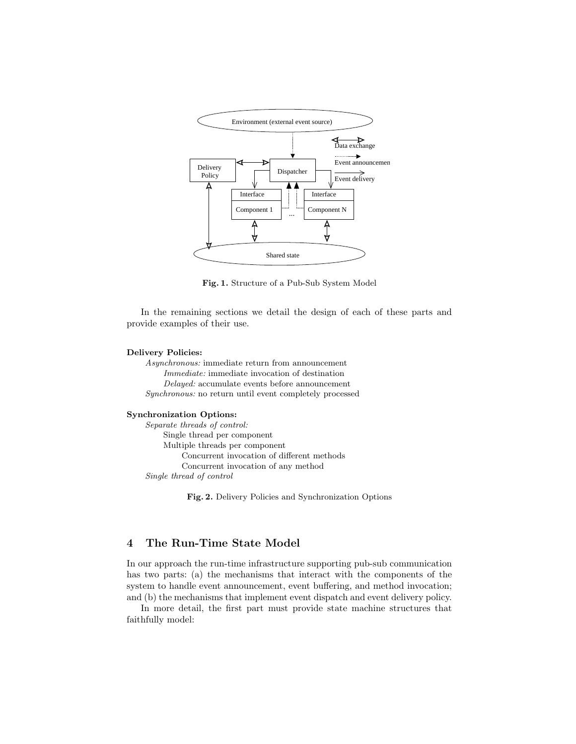

Fig. 1. Structure of a Pub-Sub System Model

In the remaining sections we detail the design of each of these parts and provide examples of their use.

#### Delivery Policies:

Asynchronous: immediate return from announcement Immediate: immediate invocation of destination Delayed: accumulate events before announcement Synchronous: no return until event completely processed

#### Synchronization Options:

Separate threads of control: Single thread per component Multiple threads per component Concurrent invocation of different methods Concurrent invocation of any method Single thread of control

Fig. 2. Delivery Policies and Synchronization Options

# 4 The Run-Time State Model

In our approach the run-time infrastructure supporting pub-sub communication has two parts: (a) the mechanisms that interact with the components of the system to handle event announcement, event buffering, and method invocation; and (b) the mechanisms that implement event dispatch and event delivery policy.

In more detail, the first part must provide state machine structures that faithfully model: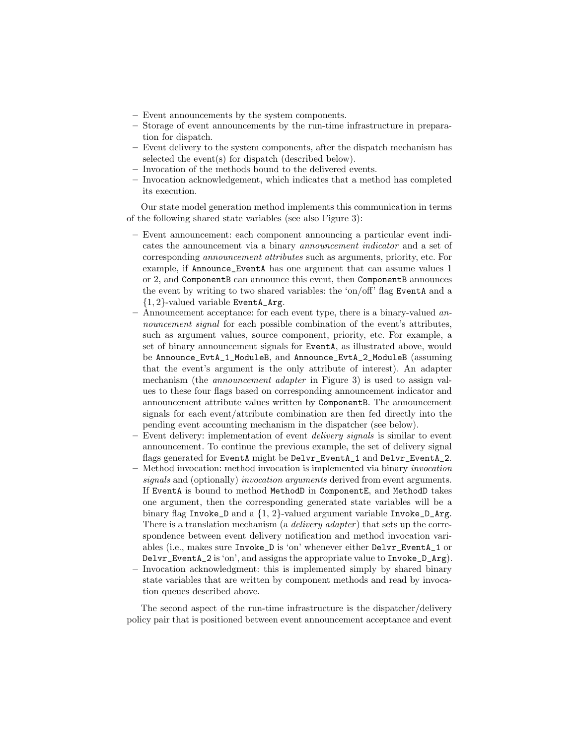- Event announcements by the system components.
- Storage of event announcements by the run-time infrastructure in preparation for dispatch.
- Event delivery to the system components, after the dispatch mechanism has selected the event(s) for dispatch (described below).
- Invocation of the methods bound to the delivered events.
- Invocation acknowledgement, which indicates that a method has completed its execution.

Our state model generation method implements this communication in terms of the following shared state variables (see also Figure 3):

- Event announcement: each component announcing a particular event indicates the announcement via a binary announcement indicator and a set of corresponding announcement attributes such as arguments, priority, etc. For example, if Announce\_EventA has one argument that can assume values 1 or 2, and ComponentB can announce this event, then ComponentB announces the event by writing to two shared variables: the 'on/off' flag EventA and a {1, 2}-valued variable EventA\_Arg.
- $-$  Announcement acceptance: for each event type, there is a binary-valued announcement signal for each possible combination of the event's attributes, such as argument values, source component, priority, etc. For example, a set of binary announcement signals for EventA, as illustrated above, would be Announce\_EvtA\_1\_ModuleB, and Announce\_EvtA\_2\_ModuleB (assuming that the event's argument is the only attribute of interest). An adapter mechanism (the *announcement adapter* in Figure 3) is used to assign values to these four flags based on corresponding announcement indicator and announcement attribute values written by ComponentB. The announcement signals for each event/attribute combination are then fed directly into the pending event accounting mechanism in the dispatcher (see below).
- Event delivery: implementation of event *delivery signals* is similar to event announcement. To continue the previous example, the set of delivery signal flags generated for EventA might be Delvr\_EventA\_1 and Delvr\_EventA\_2.
- Method invocation: method invocation is implemented via binary invocation signals and (optionally) *invocation arguments* derived from event arguments. If EventA is bound to method MethodD in ComponentE, and MethodD takes one argument, then the corresponding generated state variables will be a binary flag Invoke\_D and a  $\{1, 2\}$ -valued argument variable Invoke\_D\_Arg. There is a translation mechanism (a *delivery adapter*) that sets up the correspondence between event delivery notification and method invocation variables (i.e., makes sure Invoke\_D is 'on' whenever either Delvr\_EventA\_1 or Delvr\_EventA\_2 is 'on', and assigns the appropriate value to Invoke\_D\_Arg).
- Invocation acknowledgment: this is implemented simply by shared binary state variables that are written by component methods and read by invocation queues described above.

The second aspect of the run-time infrastructure is the dispatcher/delivery policy pair that is positioned between event announcement acceptance and event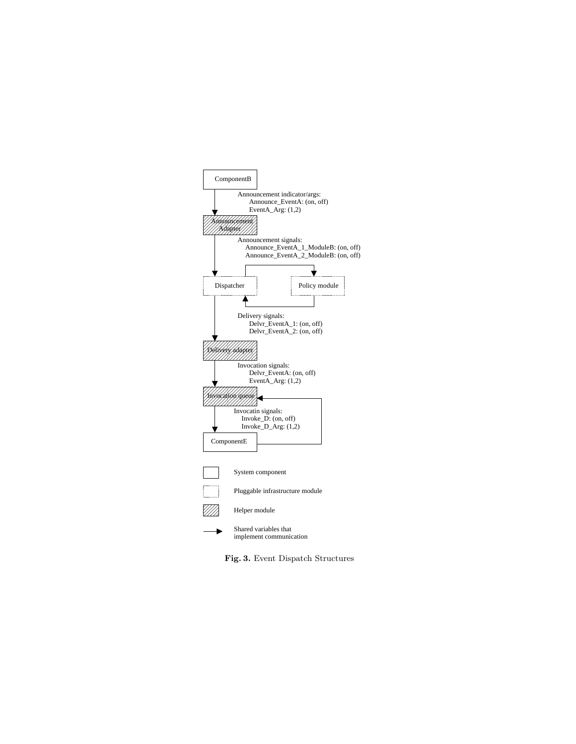

Fig. 3. Event Dispatch Structures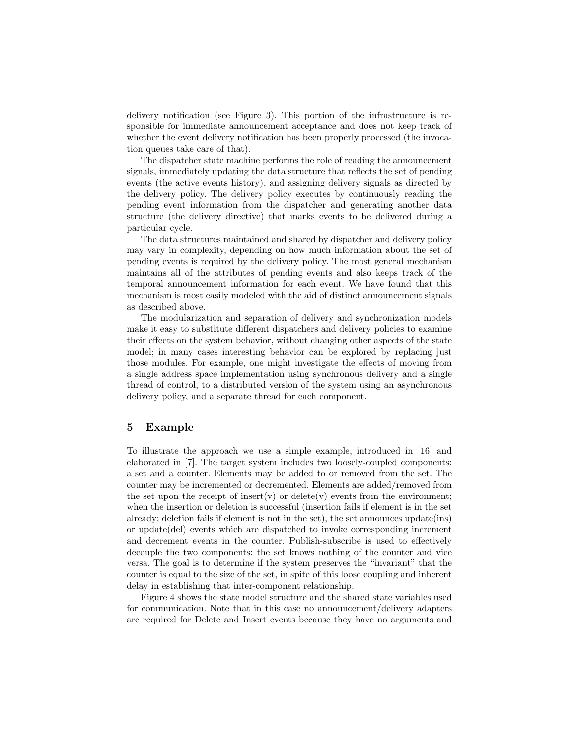delivery notification (see Figure 3). This portion of the infrastructure is responsible for immediate announcement acceptance and does not keep track of whether the event delivery notification has been properly processed (the invocation queues take care of that).

The dispatcher state machine performs the role of reading the announcement signals, immediately updating the data structure that reflects the set of pending events (the active events history), and assigning delivery signals as directed by the delivery policy. The delivery policy executes by continuously reading the pending event information from the dispatcher and generating another data structure (the delivery directive) that marks events to be delivered during a particular cycle.

The data structures maintained and shared by dispatcher and delivery policy may vary in complexity, depending on how much information about the set of pending events is required by the delivery policy. The most general mechanism maintains all of the attributes of pending events and also keeps track of the temporal announcement information for each event. We have found that this mechanism is most easily modeled with the aid of distinct announcement signals as described above.

The modularization and separation of delivery and synchronization models make it easy to substitute different dispatchers and delivery policies to examine their effects on the system behavior, without changing other aspects of the state model; in many cases interesting behavior can be explored by replacing just those modules. For example, one might investigate the effects of moving from a single address space implementation using synchronous delivery and a single thread of control, to a distributed version of the system using an asynchronous delivery policy, and a separate thread for each component.

### 5 Example

To illustrate the approach we use a simple example, introduced in [16] and elaborated in [7]. The target system includes two loosely-coupled components: a set and a counter. Elements may be added to or removed from the set. The counter may be incremented or decremented. Elements are added/removed from the set upon the receipt of insert(v) or delete(v) events from the environment; when the insertion or deletion is successful (insertion fails if element is in the set already; deletion fails if element is not in the set), the set announces update(ins) or update(del) events which are dispatched to invoke corresponding increment and decrement events in the counter. Publish-subscribe is used to effectively decouple the two components: the set knows nothing of the counter and vice versa. The goal is to determine if the system preserves the "invariant" that the counter is equal to the size of the set, in spite of this loose coupling and inherent delay in establishing that inter-component relationship.

Figure 4 shows the state model structure and the shared state variables used for communication. Note that in this case no announcement/delivery adapters are required for Delete and Insert events because they have no arguments and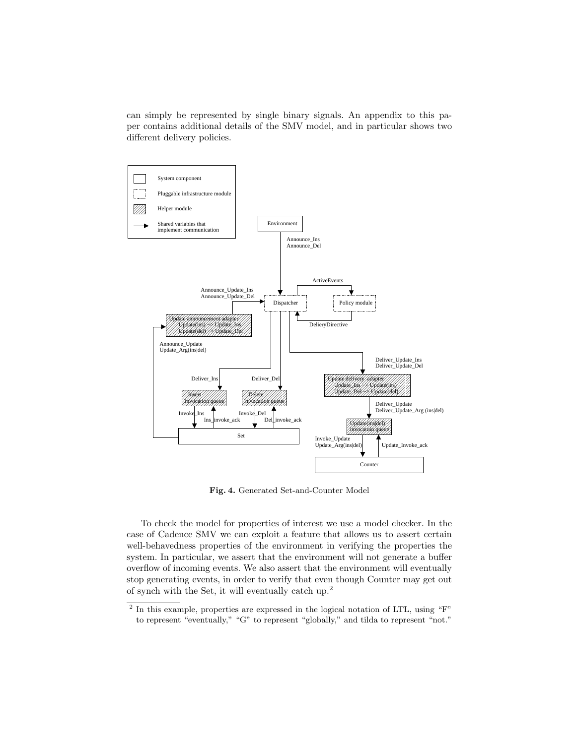can simply be represented by single binary signals. An appendix to this paper contains additional details of the SMV model, and in particular shows two different delivery policies.



Fig. 4. Generated Set-and-Counter Model

To check the model for properties of interest we use a model checker. In the case of Cadence SMV we can exploit a feature that allows us to assert certain well-behavedness properties of the environment in verifying the properties the system. In particular, we assert that the environment will not generate a buffer overflow of incoming events. We also assert that the environment will eventually stop generating events, in order to verify that even though Counter may get out of synch with the Set, it will eventually catch up.<sup>2</sup>

<sup>&</sup>lt;sup>2</sup> In this example, properties are expressed in the logical notation of LTL, using "F" to represent "eventually," "G" to represent "globally," and tilda to represent "not."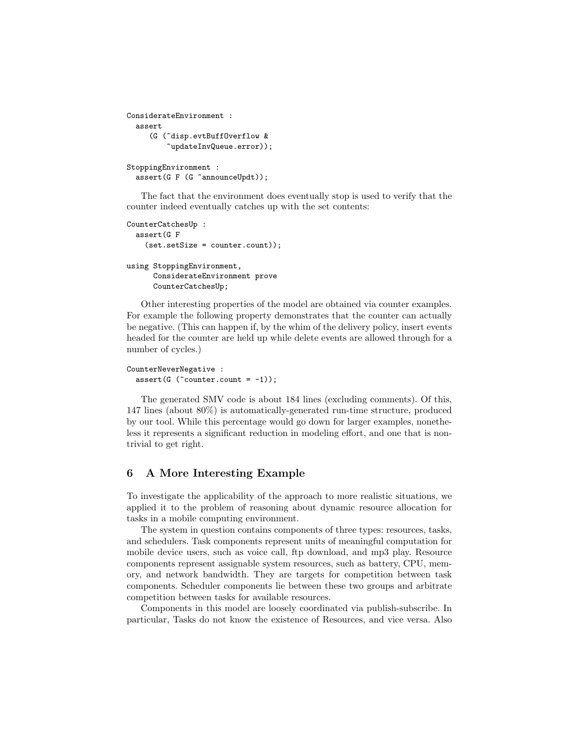```
ConsiderateEnvironment :
 assert
     (G (~disp.evtBuffOverflow &
         ~updateInvQueue.error));
StoppingEnvironment :
```

```
assert(G F (G ~announceUpdt));
```
The fact that the environment does eventually stop is used to verify that the counter indeed eventually catches up with the set contents:

```
CounterCatchesUp :
 assert(G F
    (set.setSize = counter.count));
using StoppingEnvironment,
      ConsiderateEnvironment prove
      CounterCatchesUp;
```
Other interesting properties of the model are obtained via counter examples. For example the following property demonstrates that the counter can actually be negative. (This can happen if, by the whim of the delivery policy, insert events headed for the counter are held up while delete events are allowed through for a number of cycles.)

```
CounterNeverNegative :
  assert(G (^{\sim}counter.count = -1));
```
The generated SMV code is about 184 lines (excluding comments). Of this, 147 lines (about 80%) is automatically-generated run-time structure, produced by our tool. While this percentage would go down for larger examples, nonetheless it represents a significant reduction in modeling effort, and one that is nontrivial to get right.

# 6 A More Interesting Example

To investigate the applicability of the approach to more realistic situations, we applied it to the problem of reasoning about dynamic resource allocation for tasks in a mobile computing environment.

The system in question contains components of three types: resources, tasks, and schedulers. Task components represent units of meaningful computation for mobile device users, such as voice call, ftp download, and mp3 play. Resource components represent assignable system resources, such as battery, CPU, memory, and network bandwidth. They are targets for competition between task components. Scheduler components lie between these two groups and arbitrate competition between tasks for available resources.

Components in this model are loosely coordinated via publish-subscribe. In particular, Tasks do not know the existence of Resources, and vice versa. Also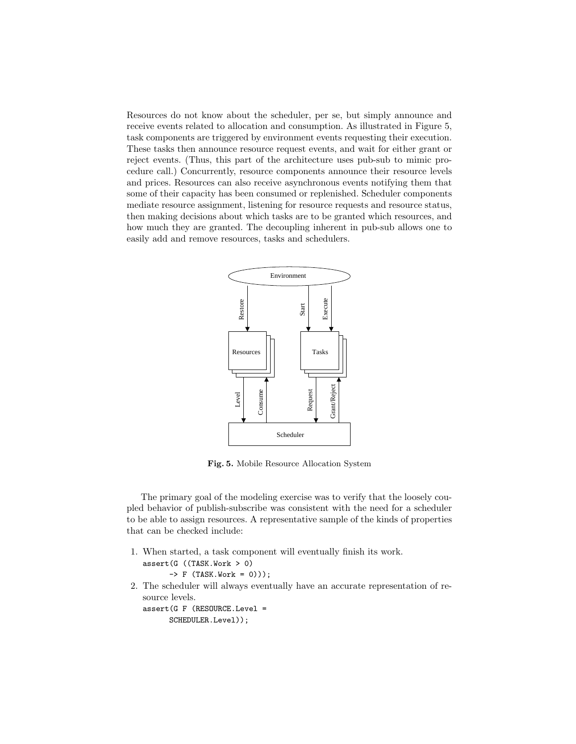Resources do not know about the scheduler, per se, but simply announce and receive events related to allocation and consumption. As illustrated in Figure 5, task components are triggered by environment events requesting their execution. These tasks then announce resource request events, and wait for either grant or reject events. (Thus, this part of the architecture uses pub-sub to mimic procedure call.) Concurrently, resource components announce their resource levels and prices. Resources can also receive asynchronous events notifying them that some of their capacity has been consumed or replenished. Scheduler components mediate resource assignment, listening for resource requests and resource status, then making decisions about which tasks are to be granted which resources, and how much they are granted. The decoupling inherent in pub-sub allows one to easily add and remove resources, tasks and schedulers.



Fig. 5. Mobile Resource Allocation System

The primary goal of the modeling exercise was to verify that the loosely coupled behavior of publish-subscribe was consistent with the need for a scheduler to be able to assign resources. A representative sample of the kinds of properties that can be checked include:

1. When started, a task component will eventually finish its work. assert(G ((TASK.Work > 0)  $\rightarrow$  F (TASK.Work = 0))); 2. The scheduler will always eventually have an accurate representation of resource levels.

assert(G F (RESOURCE.Level = SCHEDULER.Level));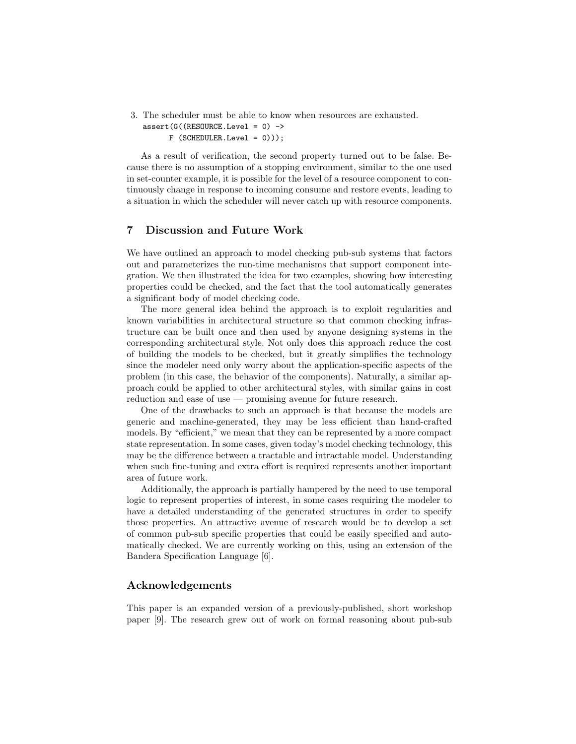3. The scheduler must be able to know when resources are exhausted.

```
assert(G((RESOURCE.Level = 0) ->
      F (SCHEDULER.Level = 0)));
```
As a result of verification, the second property turned out to be false. Because there is no assumption of a stopping environment, similar to the one used in set-counter example, it is possible for the level of a resource component to continuously change in response to incoming consume and restore events, leading to a situation in which the scheduler will never catch up with resource components.

# 7 Discussion and Future Work

We have outlined an approach to model checking pub-sub systems that factors out and parameterizes the run-time mechanisms that support component integration. We then illustrated the idea for two examples, showing how interesting properties could be checked, and the fact that the tool automatically generates a significant body of model checking code.

The more general idea behind the approach is to exploit regularities and known variabilities in architectural structure so that common checking infrastructure can be built once and then used by anyone designing systems in the corresponding architectural style. Not only does this approach reduce the cost of building the models to be checked, but it greatly simplifies the technology since the modeler need only worry about the application-specific aspects of the problem (in this case, the behavior of the components). Naturally, a similar approach could be applied to other architectural styles, with similar gains in cost reduction and ease of use — promising avenue for future research.

One of the drawbacks to such an approach is that because the models are generic and machine-generated, they may be less efficient than hand-crafted models. By "efficient," we mean that they can be represented by a more compact state representation. In some cases, given today's model checking technology, this may be the difference between a tractable and intractable model. Understanding when such fine-tuning and extra effort is required represents another important area of future work.

Additionally, the approach is partially hampered by the need to use temporal logic to represent properties of interest, in some cases requiring the modeler to have a detailed understanding of the generated structures in order to specify those properties. An attractive avenue of research would be to develop a set of common pub-sub specific properties that could be easily specified and automatically checked. We are currently working on this, using an extension of the Bandera Specification Language [6].

## Acknowledgements

This paper is an expanded version of a previously-published, short workshop paper [9]. The research grew out of work on formal reasoning about pub-sub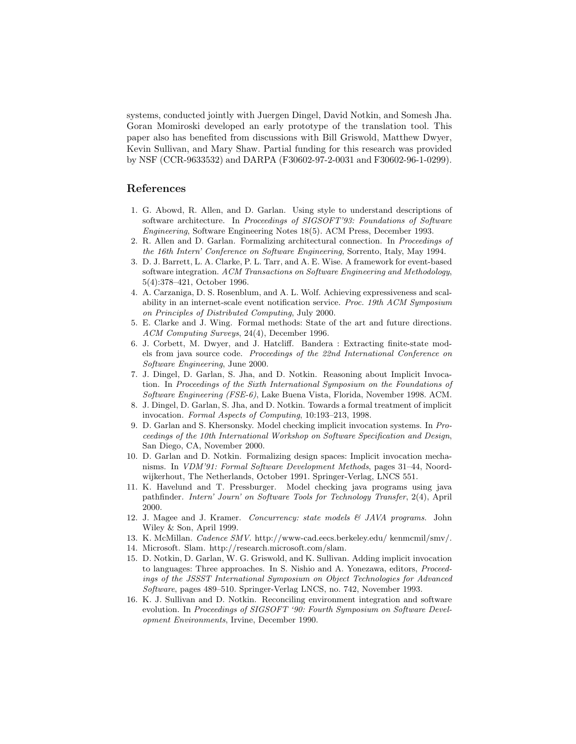systems, conducted jointly with Juergen Dingel, David Notkin, and Somesh Jha. Goran Momiroski developed an early prototype of the translation tool. This paper also has benefited from discussions with Bill Griswold, Matthew Dwyer, Kevin Sullivan, and Mary Shaw. Partial funding for this research was provided by NSF (CCR-9633532) and DARPA (F30602-97-2-0031 and F30602-96-1-0299).

### References

- 1. G. Abowd, R. Allen, and D. Garlan. Using style to understand descriptions of software architecture. In Proceedings of SIGSOFT'93: Foundations of Software Engineering, Software Engineering Notes 18(5). ACM Press, December 1993.
- 2. R. Allen and D. Garlan. Formalizing architectural connection. In Proceedings of the 16th Intern' Conference on Software Engineering, Sorrento, Italy, May 1994.
- 3. D. J. Barrett, L. A. Clarke, P. L. Tarr, and A. E. Wise. A framework for event-based software integration. ACM Transactions on Software Engineering and Methodology, 5(4):378–421, October 1996.
- 4. A. Carzaniga, D. S. Rosenblum, and A. L. Wolf. Achieving expressiveness and scalability in an internet-scale event notification service. Proc. 19th ACM Symposium on Principles of Distributed Computing, July 2000.
- 5. E. Clarke and J. Wing. Formal methods: State of the art and future directions. ACM Computing Surveys, 24(4), December 1996.
- 6. J. Corbett, M. Dwyer, and J. Hatcliff. Bandera : Extracting finite-state models from java source code. Proceedings of the 22nd International Conference on Software Engineering, June 2000.
- 7. J. Dingel, D. Garlan, S. Jha, and D. Notkin. Reasoning about Implicit Invocation. In Proceedings of the Sixth International Symposium on the Foundations of Software Engineering (FSE-6), Lake Buena Vista, Florida, November 1998. ACM.
- 8. J. Dingel, D. Garlan, S. Jha, and D. Notkin. Towards a formal treatment of implicit invocation. Formal Aspects of Computing, 10:193–213, 1998.
- 9. D. Garlan and S. Khersonsky. Model checking implicit invocation systems. In Proceedings of the 10th International Workshop on Software Specification and Design, San Diego, CA, November 2000.
- 10. D. Garlan and D. Notkin. Formalizing design spaces: Implicit invocation mechanisms. In VDM'91: Formal Software Development Methods, pages 31–44, Noordwijkerhout, The Netherlands, October 1991. Springer-Verlag, LNCS 551.
- 11. K. Havelund and T. Pressburger. Model checking java programs using java pathfinder. Intern' Journ' on Software Tools for Technology Transfer, 2(4), April 2000.
- 12. J. Magee and J. Kramer. Concurrency: state models & JAVA programs. John Wiley & Son, April 1999.
- 13. K. McMillan. Cadence SMV. http://www-cad.eecs.berkeley.edu/ kenmcmil/smv/.
- 14. Microsoft. Slam. http://research.microsoft.com/slam.
- 15. D. Notkin, D. Garlan, W. G. Griswold, and K. Sullivan. Adding implicit invocation to languages: Three approaches. In S. Nishio and A. Yonezawa, editors, Proceedings of the JSSST International Symposium on Object Technologies for Advanced Software, pages 489–510. Springer-Verlag LNCS, no. 742, November 1993.
- 16. K. J. Sullivan and D. Notkin. Reconciling environment integration and software evolution. In Proceedings of SIGSOFT '90: Fourth Symposium on Software Development Environments, Irvine, December 1990.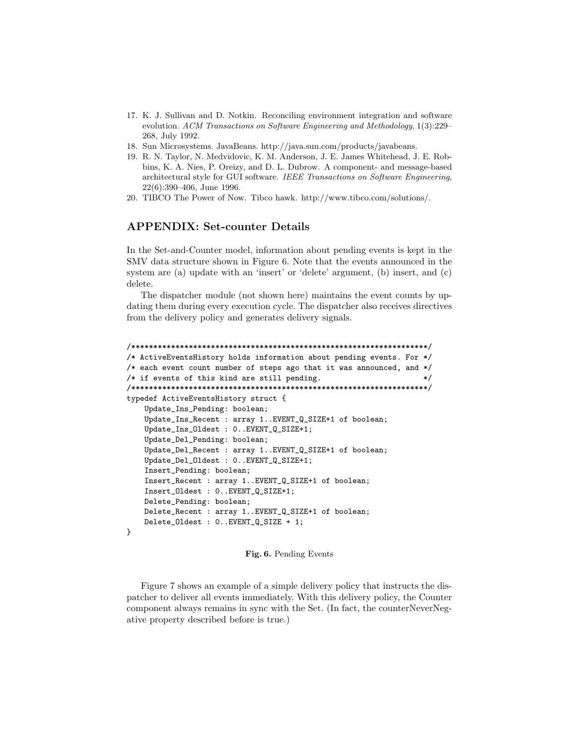- 17. K. J. Sullivan and D. Notkin. Reconciling environment integration and software evolution. ACM Transactions on Software Engineering and Methodology, 1(3):229– 268, July 1992.
- 18. Sun Microsystems. JavaBeans. http://java.sun.com/products/javabeans.
- 19. R. N. Taylor, N. Medvidovic, K. M. Anderson, J. E. James Whitehead, J. E. Robbins, K. A. Nies, P. Oreizy, and D. L. Dubrow. A component- and message-based architectural style for GUI software. IEEE Transactions on Software Engineering, 22(6):390–406, June 1996.
- 20. TIBCO The Power of Now. Tibco hawk. http://www.tibco.com/solutions/.

# APPENDIX: Set-counter Details

In the Set-and-Counter model, information about pending events is kept in the SMV data structure shown in Figure 6. Note that the events announced in the system are (a) update with an 'insert' or 'delete' argument, (b) insert, and (c) delete.

The dispatcher module (not shown here) maintains the event counts by updating them during every execution cycle. The dispatcher also receives directives from the delivery policy and generates delivery signals.

```
/*******************************************************************/
/* ActiveEventsHistory holds information about pending events. For */
/* each event count number of steps ago that it was announced, and */
/* if events of this kind are still pending. *//*******************************************************************/
typedef ActiveEventsHistory struct {
   Update_Ins_Pending: boolean;
   Update_Ins_Recent : array 1..EVENT_Q_SIZE+1 of boolean;
   Update_Ins_Oldest : 0..EVENT_Q_SIZE+1;
   Update_Del_Pending: boolean;
   Update_Del_Recent : array 1..EVENT_Q_SIZE+1 of boolean;
   Update_Del_Oldest : 0..EVENT_Q_SIZE+1;
   Insert_Pending: boolean;
   Insert_Recent : array 1..EVENT_Q_SIZE+1 of boolean;
   Insert_Oldest : 0..EVENT_Q_SIZE+1;
   Delete_Pending: boolean;
   Delete_Recent : array 1..EVENT_Q_SIZE+1 of boolean;
   Delete_Oldest : 0..EVENT_Q_SIZE + 1;
}
```
#### Fig. 6. Pending Events

Figure 7 shows an example of a simple delivery policy that instructs the dispatcher to deliver all events immediately. With this delivery policy, the Counter component always remains in sync with the Set. (In fact, the counterNeverNegative property described before is true.)